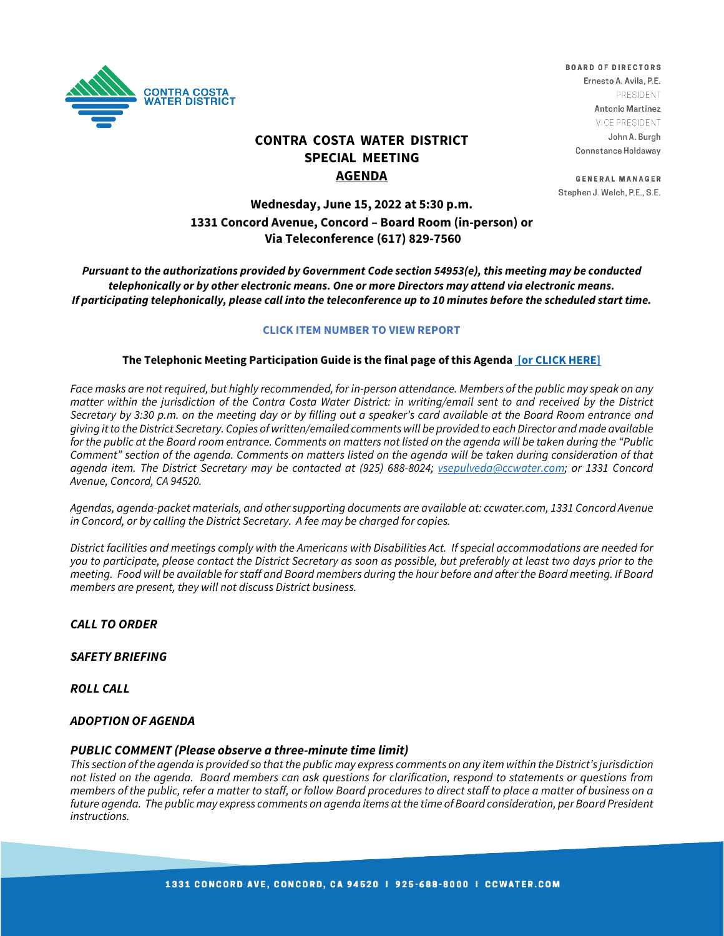

# **CONTRA COSTA WATER DISTRICT SPECIAL MEETING AGENDA**

### Ernesto A. Avila, P.E. PRESIDENT Antonio Martinez VICE PRESIDENT John A. Burgh Connstance Holdaway

**BOARD OF DIRECTORS** 

**GENERAL MANAGER** Stephen J. Welch, P.E., S.E.

## **Wednesday, June 15, 2022 at 5:30 p.m. 1331 Concord Avenue, Concord – Board Room (in-person) or Via Teleconference (617) 829-7560**

*Pursuant to the authorizations provided by Government Code section 54953(e), this meeting may be conducted telephonically or by other electronic means. One or more Directors may attend via electronic means. If participating telephonically, please call into the teleconference up to 10 minutes before the scheduled start time.*

#### **CLICK ITEM NUMBER TO VIEW REPORT**

### **The Telephonic Meeting Participation Guide is the final page of this Agenda [\[or CLICK HERE\]](https://www.ccwater.com/DocumentCenter/View/11269/Teleconference-Guide---Update-52722)**

Face masks are not required, but highly recommended, for in-person attendance. Members of the public may speak on any *matter within the jurisdiction of the Contra Costa Water District: in writing/email sent to and received by the District Secretary by 3:30 p.m. on the meeting day or by filling out a speaker's card available at the Board Room entrance and giving it to the District Secretary. Copies of written/emailed comments will be provided to each Director and made available for the public at the Board room entrance. Comments on matters not listed on the agenda will be taken during the "Public Comment" section of the agenda. Comments on matters listed on the agenda will be taken during consideration of that agenda item. The District Secretary may be contacted at (925) 688-8024; [vsepulveda@ccwater.com;](mailto:vsepulveda@ccwater.com) or 1331 Concord Avenue, Concord, CA 94520.*

*Agendas, agenda-packet materials, and other supporting documents are available at: ccwater.com, 1331 Concord Avenue in Concord, or by calling the District Secretary. A fee may be charged for copies.* 

*District facilities and meetings comply with the Americans with Disabilities Act. If special accommodations are needed for you to participate, please contact the District Secretary as soon as possible, but preferably at least two days prior to the meeting. Food will be available for staff and Board members during the hour before and after the Board meeting. If Board members are present, they will not discuss District business.*

## *CALL TO ORDER*

#### *SAFETY BRIEFING*

*ROLL CALL*

#### *ADOPTION OF AGENDA*

#### *PUBLIC COMMENT (Please observe a three-minute time limit)*

*This section of the agenda is provided so that the public may express comments on any item within the District's jurisdiction not listed on the agenda. Board members can ask questions for clarification, respond to statements or questions from members of the public, refer a matter to staff, or follow Board procedures to direct staff to place a matter of business on a future agenda. The public may express comments on agenda items at the time of Board consideration, per Board President instructions.*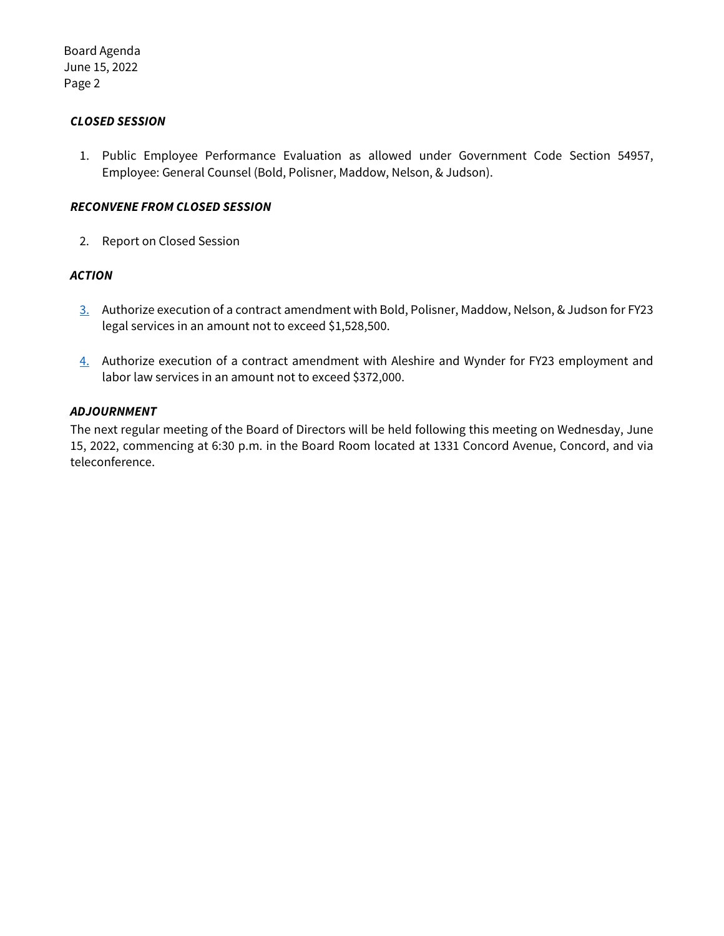Board Agenda June 15, 2022 Page 2

## *CLOSED SESSION*

1. Public Employee Performance Evaluation as allowed under Government Code Section 54957, Employee: General Counsel (Bold, Polisner, Maddow, Nelson, & Judson).

### *RECONVENE FROM CLOSED SESSION*

2. Report on Closed Session

## *ACTION*

- [3.](https://www.ccwater.com/DocumentCenter/View/11301/S3-Authorize-FY23-Amendment-with-BPMNJ) Authorize execution of a contract amendment with Bold, Polisner, Maddow, Nelson, & Judson for FY23 legal services in an amount not to exceed \$1,528,500.
- [4.](https://www.ccwater.com/DocumentCenter/View/11302/S4-Authorize-FY23-Amendment-with-Aleshire-and-Wynder) Authorize execution of a contract amendment with Aleshire and Wynder for FY23 employment and labor law services in an amount not to exceed \$372,000.

## *ADJOURNMENT*

The next regular meeting of the Board of Directors will be held following this meeting on Wednesday, June 15, 2022, commencing at 6:30 p.m. in the Board Room located at 1331 Concord Avenue, Concord, and via teleconference.